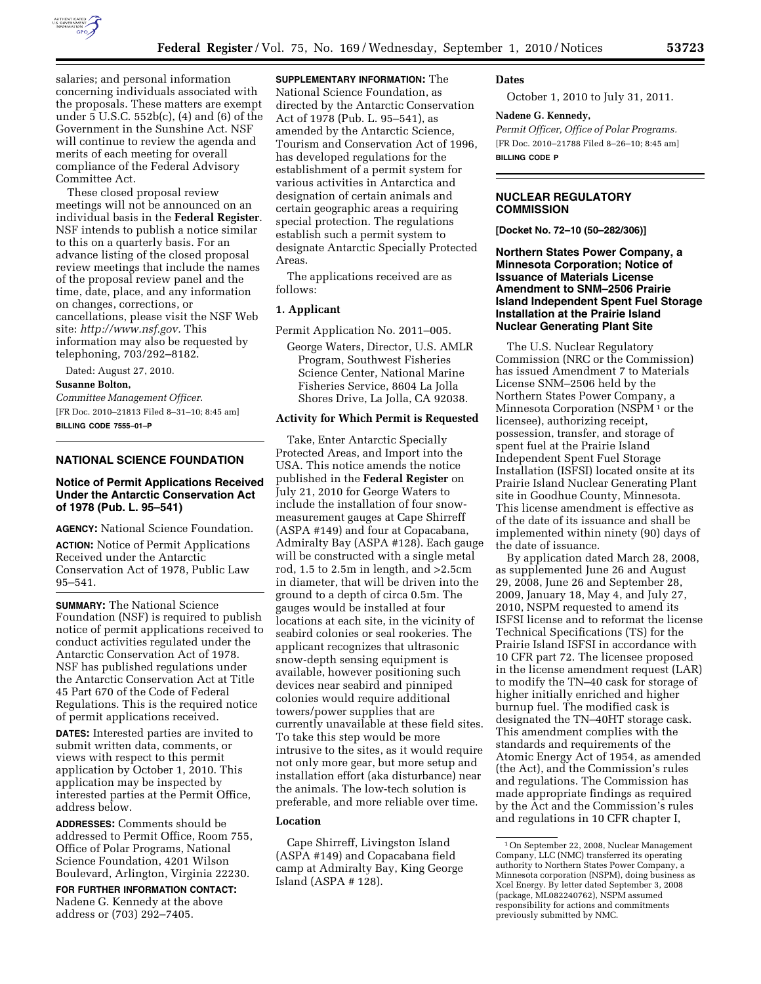

salaries; and personal information concerning individuals associated with the proposals. These matters are exempt under 5 U.S.C. 552b(c), (4) and (6) of the Government in the Sunshine Act. NSF will continue to review the agenda and merits of each meeting for overall compliance of the Federal Advisory Committee Act.

These closed proposal review meetings will not be announced on an individual basis in the **Federal Register**. NSF intends to publish a notice similar to this on a quarterly basis. For an advance listing of the closed proposal review meetings that include the names of the proposal review panel and the time, date, place, and any information on changes, corrections, or cancellations, please visit the NSF Web site: *[http://www.nsf.gov.](http://www.nsf.gov)* This information may also be requested by telephoning, 703/292–8182.

Dated: August 27, 2010.

### **Susanne Bolton,**

*Committee Management Officer.*  [FR Doc. 2010–21813 Filed 8–31–10; 8:45 am] **BILLING CODE 7555–01–P** 

### **NATIONAL SCIENCE FOUNDATION**

### **Notice of Permit Applications Received Under the Antarctic Conservation Act of 1978 (Pub. L. 95–541)**

**AGENCY:** National Science Foundation.

**ACTION:** Notice of Permit Applications Received under the Antarctic Conservation Act of 1978, Public Law 95–541.

**SUMMARY:** The National Science Foundation (NSF) is required to publish notice of permit applications received to conduct activities regulated under the Antarctic Conservation Act of 1978. NSF has published regulations under the Antarctic Conservation Act at Title 45 Part 670 of the Code of Federal Regulations. This is the required notice of permit applications received.

**DATES:** Interested parties are invited to submit written data, comments, or views with respect to this permit application by October 1, 2010. This application may be inspected by interested parties at the Permit Office, address below.

**ADDRESSES:** Comments should be addressed to Permit Office, Room 755, Office of Polar Programs, National Science Foundation, 4201 Wilson Boulevard, Arlington, Virginia 22230.

**FOR FURTHER INFORMATION CONTACT:**  Nadene G. Kennedy at the above address or (703) 292–7405.

**SUPPLEMENTARY INFORMATION:** The National Science Foundation, as directed by the Antarctic Conservation Act of 1978 (Pub. L. 95–541), as amended by the Antarctic Science, Tourism and Conservation Act of 1996, has developed regulations for the establishment of a permit system for various activities in Antarctica and designation of certain animals and certain geographic areas a requiring special protection. The regulations establish such a permit system to designate Antarctic Specially Protected Areas.

The applications received are as follows:

#### **1. Applicant**

Permit Application No. 2011–005.

George Waters, Director, U.S. AMLR Program, Southwest Fisheries Science Center, National Marine Fisheries Service, 8604 La Jolla Shores Drive, La Jolla, CA 92038.

#### **Activity for Which Permit is Requested**

Take, Enter Antarctic Specially Protected Areas, and Import into the USA. This notice amends the notice published in the **Federal Register** on July 21, 2010 for George Waters to include the installation of four snowmeasurement gauges at Cape Shirreff (ASPA #149) and four at Copacabana, Admiralty Bay (ASPA #128). Each gauge will be constructed with a single metal rod, 1.5 to 2.5m in length, and >2.5cm in diameter, that will be driven into the ground to a depth of circa 0.5m. The gauges would be installed at four locations at each site, in the vicinity of seabird colonies or seal rookeries. The applicant recognizes that ultrasonic snow-depth sensing equipment is available, however positioning such devices near seabird and pinniped colonies would require additional towers/power supplies that are currently unavailable at these field sites. To take this step would be more intrusive to the sites, as it would require not only more gear, but more setup and installation effort (aka disturbance) near the animals. The low-tech solution is preferable, and more reliable over time.

#### **Location**

Cape Shirreff, Livingston Island (ASPA #149) and Copacabana field camp at Admiralty Bay, King George Island (ASPA # 128).

## **Dates**

October 1, 2010 to July 31, 2011.

#### **Nadene G. Kennedy,**

*Permit Officer, Office of Polar Programs.*  [FR Doc. 2010–21788 Filed 8–26–10; 8:45 am] **BILLING CODE P** 

### **NUCLEAR REGULATORY COMMISSION**

**[Docket No. 72–10 (50–282/306)]** 

**Northern States Power Company, a Minnesota Corporation; Notice of Issuance of Materials License Amendment to SNM–2506 Prairie Island Independent Spent Fuel Storage Installation at the Prairie Island Nuclear Generating Plant Site** 

The U.S. Nuclear Regulatory Commission (NRC or the Commission) has issued Amendment 7 to Materials License SNM–2506 held by the Northern States Power Company, a Minnesota Corporation (NSPM<sup>1</sup> or the licensee), authorizing receipt, possession, transfer, and storage of spent fuel at the Prairie Island Independent Spent Fuel Storage Installation (ISFSI) located onsite at its Prairie Island Nuclear Generating Plant site in Goodhue County, Minnesota. This license amendment is effective as of the date of its issuance and shall be implemented within ninety (90) days of the date of issuance.

By application dated March 28, 2008, as supplemented June 26 and August 29, 2008, June 26 and September 28, 2009, January 18, May 4, and July 27, 2010, NSPM requested to amend its ISFSI license and to reformat the license Technical Specifications (TS) for the Prairie Island ISFSI in accordance with 10 CFR part 72. The licensee proposed in the license amendment request (LAR) to modify the TN–40 cask for storage of higher initially enriched and higher burnup fuel. The modified cask is designated the TN–40HT storage cask. This amendment complies with the standards and requirements of the Atomic Energy Act of 1954, as amended (the Act), and the Commission's rules and regulations. The Commission has made appropriate findings as required by the Act and the Commission's rules and regulations in 10 CFR chapter I,

<sup>1</sup>On September 22, 2008, Nuclear Management Company, LLC (NMC) transferred its operating authority to Northern States Power Company, a Minnesota corporation (NSPM), doing business as Xcel Energy. By letter dated September 3, 2008 (package, ML082240762), NSPM assumed responsibility for actions and commitments previously submitted by NMC.